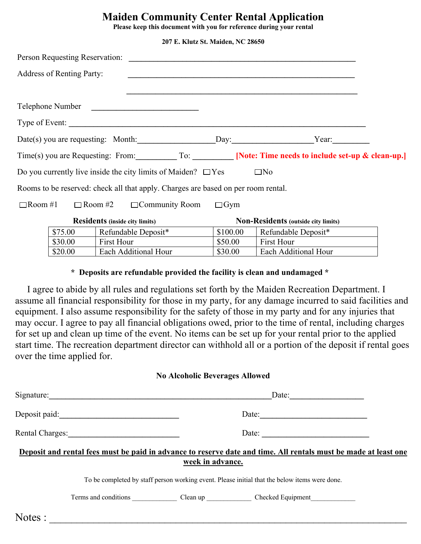## **Maiden Community Center Rental Application**

**Please keep this document with you for reference during your rental**

**207 E. Klutz St. Maiden, NC 28650**

|                                       | Person Requesting Reservation:   |                                                                                                               |                                     |                                                                                        |  |
|---------------------------------------|----------------------------------|---------------------------------------------------------------------------------------------------------------|-------------------------------------|----------------------------------------------------------------------------------------|--|
|                                       | <b>Address of Renting Party:</b> |                                                                                                               |                                     |                                                                                        |  |
|                                       |                                  |                                                                                                               |                                     |                                                                                        |  |
|                                       | Telephone Number                 | <u> 1980 - Johann Barbara, martin da basar da basar da basar da basar da basar da basar da basar da basar</u> |                                     |                                                                                        |  |
|                                       |                                  | Type of Event:                                                                                                |                                     |                                                                                        |  |
|                                       |                                  | Date(s) you are requesting: Month: Day: Day: Year:                                                            |                                     |                                                                                        |  |
|                                       |                                  |                                                                                                               |                                     | Time(s) you are Requesting: From: To: [Note: Time needs to include set-up & clean-up.] |  |
|                                       |                                  | Do you currently live inside the city limits of Maiden? $\Box$ Yes                                            |                                     | $\square$ No                                                                           |  |
|                                       |                                  | Rooms to be reserved: check all that apply. Charges are based on per room rental.                             |                                     |                                                                                        |  |
| $\Box$ Room #1                        | $\Box$ Room #2                   | $\Box$ Community Room                                                                                         | $\Box$ Gym                          |                                                                                        |  |
| <b>Residents</b> (inside city limits) |                                  |                                                                                                               | Non-Residents (outside city limits) |                                                                                        |  |
|                                       | \$75.00                          | Refundable Deposit*                                                                                           | \$100.00                            | Refundable Deposit*                                                                    |  |
|                                       | \$30.00                          | First Hour                                                                                                    | \$50.00                             | First Hour                                                                             |  |
|                                       | \$20.00                          | Each Additional Hour                                                                                          | \$30.00                             | Each Additional Hour                                                                   |  |

### **\* Deposits are refundable provided the facility is clean and undamaged \***

I agree to abide by all rules and regulations set forth by the Maiden Recreation Department. I assume all financial responsibility for those in my party, for any damage incurred to said facilities and equipment. I also assume responsibility for the safety of those in my party and for any injuries that may occur. I agree to pay all financial obligations owed, prior to the time of rental, including charges for set up and clean up time of the event. No items can be set up for your rental prior to the applied start time. The recreation department director can withhold all or a portion of the deposit if rental goes over the time applied for.

#### **No Alcoholic Beverages Allowed**

|                                                                                               |  |                       | Date: $\qquad \qquad$                                                                                           |  |  |  |
|-----------------------------------------------------------------------------------------------|--|-----------------------|-----------------------------------------------------------------------------------------------------------------|--|--|--|
|                                                                                               |  |                       | Date: $\qquad \qquad$                                                                                           |  |  |  |
| Rental Charges:                                                                               |  | Date: $\qquad \qquad$ |                                                                                                                 |  |  |  |
|                                                                                               |  | week in advance.      | Deposit and rental fees must be paid in advance to reserve date and time. All rentals must be made at least one |  |  |  |
| To be completed by staff person working event. Please initial that the below items were done. |  |                       |                                                                                                                 |  |  |  |
|                                                                                               |  |                       |                                                                                                                 |  |  |  |
| Notes :                                                                                       |  |                       |                                                                                                                 |  |  |  |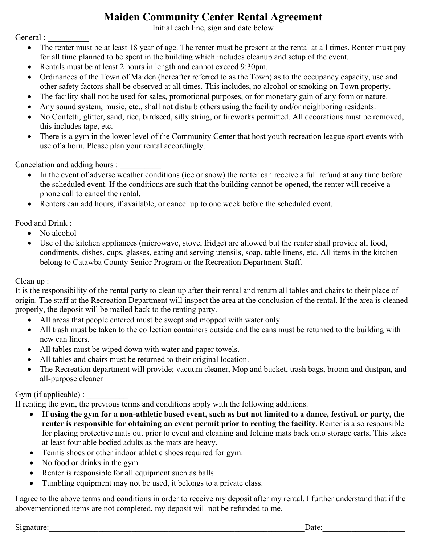## **Maiden Community Center Rental Agreement**

Initial each line, sign and date below

General :

- The renter must be at least 18 year of age. The renter must be present at the rental at all times. Renter must pay for all time planned to be spent in the building which includes cleanup and setup of the event.
- Rentals must be at least 2 hours in length and cannot exceed 9:30pm.
- Ordinances of the Town of Maiden (hereafter referred to as the Town) as to the occupancy capacity, use and other safety factors shall be observed at all times. This includes, no alcohol or smoking on Town property.
- The facility shall not be used for sales, promotional purposes, or for monetary gain of any form or nature.
- Any sound system, music, etc., shall not disturb others using the facility and/or neighboring residents.
- No Confetti, glitter, sand, rice, birdseed, silly string, or fireworks permitted. All decorations must be removed, this includes tape, etc.
- There is a gym in the lower level of the Community Center that host youth recreation league sport events with use of a horn. Please plan your rental accordingly.

Cancelation and adding hours :

- In the event of adverse weather conditions (ice or snow) the renter can receive a full refund at any time before the scheduled event. If the conditions are such that the building cannot be opened, the renter will receive a phone call to cancel the rental.
- Renters can add hours, if available, or cancel up to one week before the scheduled event.

Food and Drink :

- No alcohol
- Use of the kitchen appliances (microwave, stove, fridge) are allowed but the renter shall provide all food, condiments, dishes, cups, glasses, eating and serving utensils, soap, table linens, etc. All items in the kitchen belong to Catawba County Senior Program or the Recreation Department Staff.

 $Clean up:$ 

It is the responsibility of the rental party to clean up after their rental and return all tables and chairs to their place of origin. The staff at the Recreation Department will inspect the area at the conclusion of the rental. If the area is cleaned properly, the deposit will be mailed back to the renting party.

- All areas that people entered must be swept and mopped with water only.
- All trash must be taken to the collection containers outside and the cans must be returned to the building with new can liners.
- All tables must be wiped down with water and paper towels.
- All tables and chairs must be returned to their original location.
- The Recreation department will provide; vacuum cleaner, Mop and bucket, trash bags, broom and dustpan, and all-purpose cleaner

## Gym (if applicable) :

If renting the gym, the previous terms and conditions apply with the following additions.

- **If using the gym for a non-athletic based event, such as but not limited to a dance, festival, or party, the renter is responsible for obtaining an event permit prior to renting the facility.** Renter is also responsible for placing protective mats out prior to event and cleaning and folding mats back onto storage carts. This takes at least four able bodied adults as the mats are heavy.
- Tennis shoes or other indoor athletic shoes required for gym.
- No food or drinks in the gym
- Renter is responsible for all equipment such as balls
- Tumbling equipment may not be used, it belongs to a private class.

I agree to the above terms and conditions in order to receive my deposit after my rental. I further understand that if the abovementioned items are not completed, my deposit will not be refunded to me.

Signature:\_\_\_\_\_\_\_\_\_\_\_\_\_\_\_\_\_\_\_\_\_\_\_\_\_\_\_\_\_\_\_\_\_\_\_\_\_\_\_\_\_\_\_\_\_\_\_\_\_\_\_\_\_\_\_\_\_\_\_\_\_\_Date:\_\_\_\_\_\_\_\_\_\_\_\_\_\_\_\_\_\_\_\_